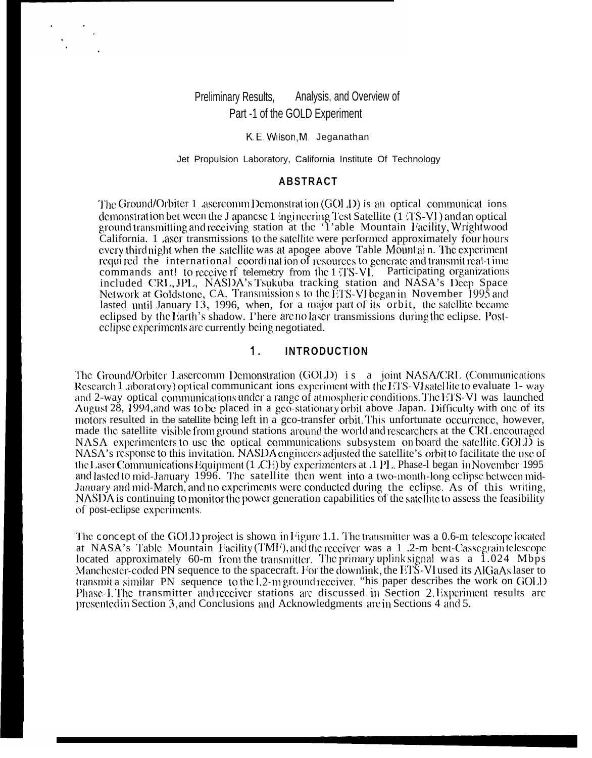#### **Preliminary Results,** Analysis, and Overview of Part -1 of the GOLD Experiment

#### K.E. Wilson, M. Jeganathan

#### Jet Propulsion Laboratory, California Institute Of Technology

#### **ABSTRACT**

The Ground/Orbiter 1 asercomm Demonstration (GOLD) is an optical communications demonstration bet ween the J apanese 1 ingineering Test Satellite (1 TS-VI) and an optical ground transmitting and receiving station at the '1'able Mountain Facility, Wrightwood California. 1 aser transmissions to the satellite were performed approximately four hours every third night when the satellite was at apogee above Table Mountain. The experiment required the international coordination of resources to generate and transmit real-time commands ant! to receive rf telemetry from the 1 :TS-VI. Participating organizations<br>included CRL, JPL, NASDA's Tsukuba tracking station and NASA's Deep Space<br>Network at Goldstone, CA. Transmissions to the ETS-VI began in lasted until January 13, 1996, when, for a major part of its orbit, the satellite became eclipsed by the Earth's shadow. I'here are no laser transmissions during the eclipse. Posteclipse experiments are currently being negotiated.

#### $1.$ **INTRODUCTION**

The Ground/Orbiter Lasercomm Demonstration (GOLD) is a joint NASA/CRL (Communications Research 1 aboratory) optical communicant ions experiment with the ETS-VI satellite to evaluate 1- way and 2-way optical communications under a range of atmospheric conditions. The ETS-VI was launched August 28, 1994, and was to be placed in a geo-stationary orbit above Japan. Difficulty with one of its motors resulted in the satellite being left in a gco-transfer orbit. This unfortunate occurrence, however, made the satellite visible from ground stations around the world and researchers at the CRL encouraged NASA experimenters to use the optical communications subsystem on board the satellite. GOLD is NASA's response to this invitation. NASDA engineers adjusted the satellite's orbit to facilitate the use of<br>the Laser Communications Equipment (1 CE) by experimenters at .1 PL. Phase-1 began in November 1995<br>and lasted to January and mid-March, and no experiments were conducted during the eclipse. As of this writing, NASDA is continuing to monitor the power generation capabilities of the satellite to assess the feasibility of post-eclipse experiments.

The concept of the GOLD project is shown in Figure 1.1. The transmitter was a 0.6-m telescope located at NASA's Table Mountain Facility (TMF), and the receiver was a 1 .2-m bent-Cassegrain telescope located approximately 60-m from the transmitter. The primary uplink signal was a 1.024 Mbps Manchester-coded PN sequence to the spacecraft. For the downlink, the ETS-VI used its AlGaAs laser to transmit a similar PN sequence to the 1.2-m ground receiver. "his paper describes the work on GOLD Phase-I. The transmitter and receiver stations are discussed in Section 2. Experiment results are presented in Section 3, and Conclusions and Acknowledgments are in Sections 4 and 5.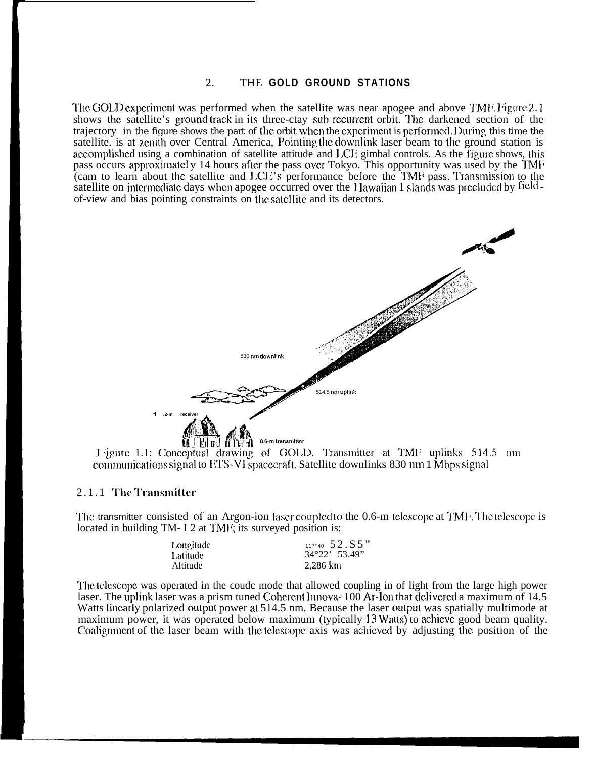### 2. THE **GOLD GROUND STATIONS**

The GOLI) experiment was performed when the satellite was near apogee and above TMF. Figure 2.1 shows the satellite's ground track in its three-ctay sub-recurrent orbit. The darkened section of the trajectory in the figure shows the part of tbc orbit wbcn the cxpcrimcnt is pcrfomccl. During this time the satellite. is at zenith over Central America, Pointing the downlink laser beam to the ground station is accomplished using a combination of satellite attitude and  $LCE$  gimbal controls. As the figure shows, this pass occurs approximatel y 14 hours after the pass over Tokyo. This opportunity was used by the TMF (cam to learn about the satellite and LCE's performance before the TMF pass. Transmission to the satellite on intermediate days when apogee occurred over the Hawaiian 1 slands was precluded by field of-view and bias pointing constraints on tbc satcl Iitc and its detectors. by the<br>ission<br>ded by



communications signal to ETS-VI spacecraft. Satellite downlinks 830 nm 1 Mbps signal

## 2.1.1 The Transmitter

The transmitter consisted of an Argon-ion laser coupled to the 0.6-m telescope at TMF. The telescope is located in building TM- I 2 at TMF; its surveyed position is:

| Longitude | $117°40'$ 52.55"       |
|-----------|------------------------|
| Latitude  | $34^{\circ}22'$ 53.49" |
| Altitude  | 2,286 km               |

The telescope was operated in the coudc mode that allowed coupling in of light from the large high power laser. The uplink laser was a prism tuned Coherent Innova-100 Ar-Ion that delivered a maximum of 14.5 Watts linearly polarized output power at 514.5 nm. Because the laser output was spatially multimode at maximum power, it was operated below maximum (typically 13 Watts) to achieve good beam quality. Coalignment of the laser beam with the telescope axis was achieved by adjusting the position of the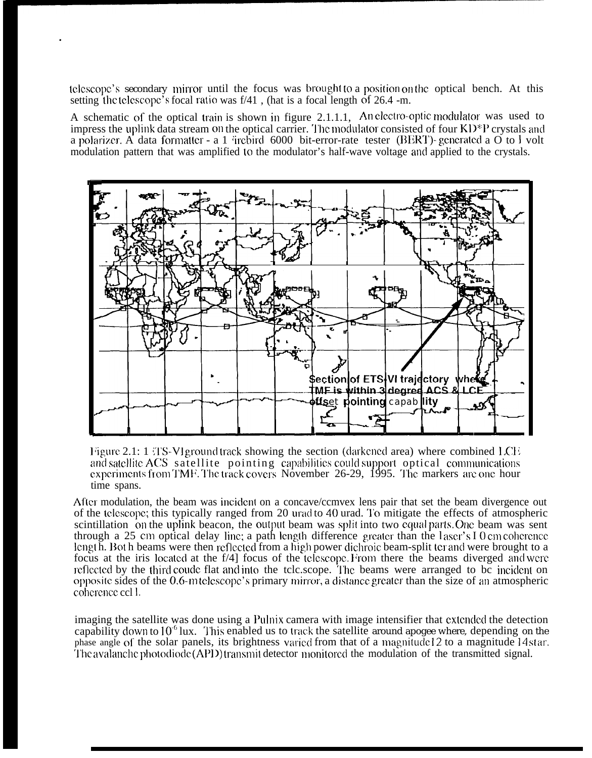telescope's secondary mirror until the focus was brought to a position on the optical bench. At this setting the tclescope's focal ratio was  $f/41$ , (hat is a focal length of 26.4 -m.

.

A schematic of the optical train is shown in figure  $2.1.1.1$ , An electro-optic modulator was used to impress the uplink data stream on the optical carrier. The modulator consisted of four KD\*P crystals and a polarizer. A data formatter - a 1  $\ddot{\text{}i}$ rcbird 6000 bit-error-rate tester (BERT)- generated a O to 1 volt modulation pattern that was amplified 10 the modulator's half-wave voltage and applied to the crystals.



Figure 2.1: 1  $T$ S-VI ground track showing the section (darkened area) where combined LCE and satellite ACS satellite pointing capabilities could support optical communications experiments from TMF. The track covers November 26-29, 1995. The markers are one hour time spans.

After modulation, the beam was incident on a concave/ccmvex lens pair that set the beam divergence out of the tclescope; this typically ranged from 20 urad to 40 urad. To mitigate the effects of atmospheric scintillation on the uplink beacon, the output beam was split into two equal parts. One beam was sent through a 25 cm optical delay line; a path length difference greater than the laser's I 0 cm coherence length. Both beams were then reflected from a high power dichroic beam-split ter and were brought to a focus at the iris located at the f/4] focus of the telescope. From there the beams diverged and were reflected by the third coude flat and into the tclc.scope. The beams were arranged to be incident on opposite sides of the  $0.6$ -m telescope's primary mirror, a distance greater than the size of an atmospheric coherence ccl l.

imaging the satellite was done using a Pulnix camera with image intensifier that cxtcndcd the detection capability down to  $10<sup>-6</sup>$  lux. This enabled us to track the satellite around apogee where, depending on the phase angle of the solar panels, its brightness varied from that of a magnitude 12 to a magnitude 14 star. The avalanche photodiode (API) transmit detector monitored the modulation of the transmitted signal.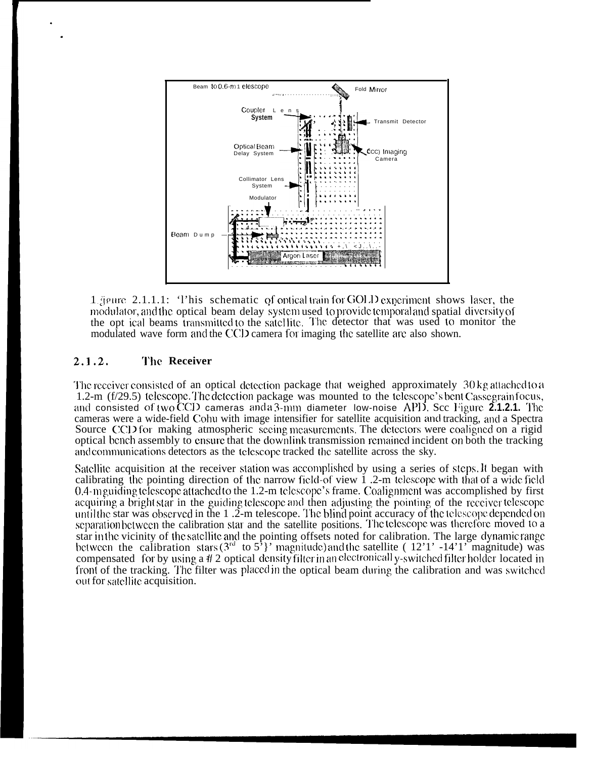

1 jeune 2.1.1.1: This schematic of optical train for GOLD experiment shows laser, the modulator, and the optical beam delay system used to provide temporal and spatial diversity of the opt ical beams transmitted to the satellite. The detector that was used to monitor the modulated wave form and the CCD camera for imaging the satellite are also shown.

#### $2.1.2.$ The Receiver

The receiver consisted of an optical detection package that weighed approximately 30 kg attached to a 1.2-m (f/29.5) telescope. The detection package was mounted to the telescope's bent Cassegrainfocus, and consisted of two CCD cameras and  $a3$ -mm diameter low-noise APD. Scc Figure 2.1.2.1. The cameras were a wide-field Cohu with image intensifier for satellite acquisition and tracking, and a Spectra Source CCD for making atmospheric seeing measurements. The detectors were coaligned on a rigid optical bench assembly to ensure that the downlink transmission remained incident on both the tracking and communications detectors as the telescope tracked the satellite across the sky.

Satellite acquisition at the receiver station was accomplished by using a series of steps. It began with calibrating the pointing direction of the narrow field-of view 1.2-m telescope with that of a wide field 0.4-m guiding telescope attached to the 1.2-m telescope's frame. Coalignment was accomplished by first acquiring a bright star in the guiding telescope and then adjusting the pointing of the receiver telescope until the star was observed in the 1.2-m telescope. The blind point accuracy of the telescope depended on separation between the calibration star and the satellite positions. The telescope was therefore moved to a star in the vicinity of the satellite and the pointing offsets noted for calibration. The large dynamic range between the calibration stars ( $3^{rd}$  to  $5^{\frac{1}{3}}$ ) magnitude) and the satellite (12'1' -14'1' magnitude) was compensated for by using a # 2 optical density filter in an electronically-switched filter holder located in front of the tracking. The filter was placed in the optical beam during the calibration and was switched out for satellite acquisition.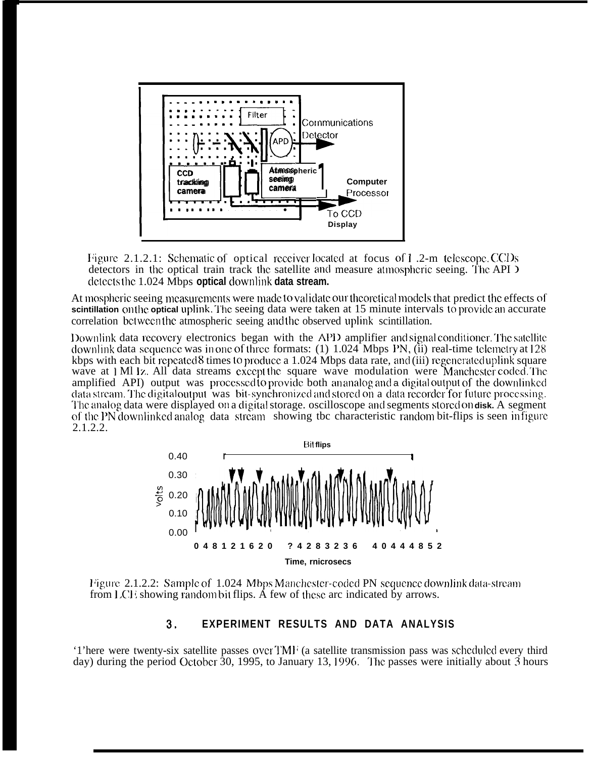

Figure 2.1.2.1: Schematic of optical receiver located at focus of 1.2-m telescope. CCDs detectors in the optical train track the satellite and measure atmospheric seeing. The API  $\lambda$ detects the 1.024 Mbps **optical** downlink **data stream.** 

At mospheric seeing measurements were made to validate our theoretical models that predict the effects of **scintillation** on the **optical** uplink. The seeing data were taken at 15 minute intervals to provide an accurate correlation bctwecn the atmospheric seeing and the observed uplink scintillation.

Downlink data recovery electronics began with the APD amplifier and signal conditioner. The satellite downlink data scqucncc was in onc of tbrec formats: (1) 1.024 Mbps PN, (ii) real-time tclcmctry at 128 kbps with each bit repeated 8 times to produce a  $1.024$  Mbps data rate, and (iii) regenerated uplink square wave at 1 Ml Iz. All data streams except the square wave modulation were Manchester coded. The amplified API) output was processed to provide both an analog and a digital output of the downlinked data stream. The digital output was bit-synchronized and stored on a data recorder for future processing. The analog data were displayed on a digital storage. oscilloscope and segments stored on disk. A segment of the PN downlinked analog data stream showing tbc characteristic random bit-flips is seen in figure 2.1.2.2.



**Figure** 2.1.2.2: Sample of 1.024 Mbps Manchester-coded PN sequence downlink data-stream from LC1 showing random bit flips. A few of these arc indicated by arrows.

# **3. EXPERIMENT RESULTS AND DATA ANALYSIS**

'1'here were twenty-six satellite passes over 'l'Ml; (a satellite transmission pass was scbcdulcd every third day) during the period October 30, 1995, to January 13, 1996. The passes were initially about 3 hours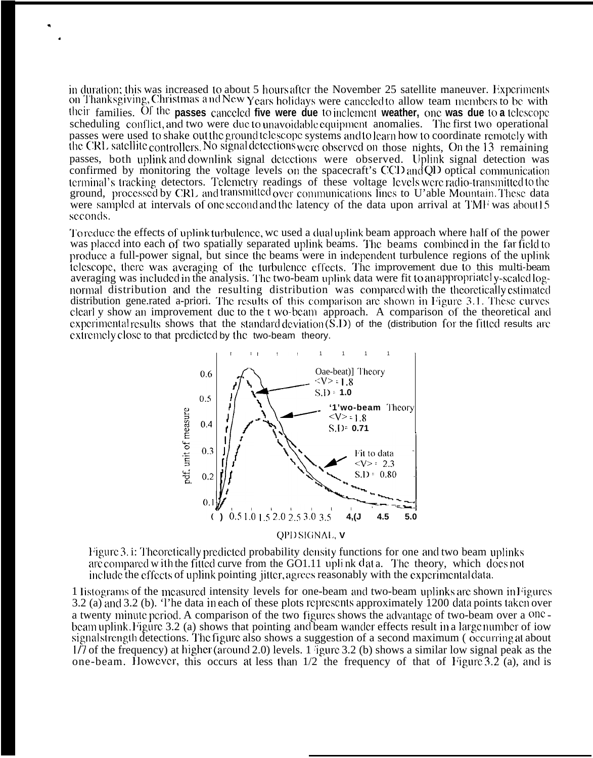in duration; this was increased to about 5 hours after the November 25 satellite maneuver. Experiments on Thanksgiving, Christmas and New Years holidays were canceled to allow team members to be with their families. Of the passes canceled five were due to inclement weather, one was due to a telescope scheduling conflict, and two were due to unavoidable equipment anomalies. The first two operational passes were used to shake out the ground telescope systems and to learn how to coordinate remotely with the CRL satellite controllers. No signal detections were observed on those nights, On the 13 remaining passes, both uplink and downlink signal detections were observed. Uplink signal detection was confirmed by monitoring the voltage levels on the spacecraft's CCD and QD optical communication terminal's tracking detectors. Telemetry readings of these voltage levels were radio-transmitted to the ground, processed by CRL and transmitted over communications lines to U'able Mountain. These data were sampled at intervals of one second and the latency of the data upon arrival at TMF was about  $\frac{15}{15}$ seconds.

. .

> To reduce the effects of uplink turbulcnce, we used a dual uplink beam approach where half of the power was placed into each of two spatially separated uplink beams. The beams combined in the far field to produce a full-power signal, but since the beams were in independent turbulence regions of the uplink telescope, there was averaging of the turbulence effects. The improvement due to this multi-beam averaging was included in the analysis. The two-beam uplink data were fit to an appropriately-scaled lognormal distribution and the resulting distribution was compared with the theoretically estimated distribution gene.rated a-priori. '1'bc **Icsults of this conyxuison arc silown in ]:igure 3.1. '1'hcsc curwx** clearl y show an improvement due to the t wo-beam approach. A comparison of the theoretical and  $c$ xpcrimental results shows that the standard deviation  $(S.D)$  of the (distribution for the fitted results arc



Figure 3. i: Theoretically predicted probability density functions for one and two beam uplinks are compared w ith the fitted curve from the GO1.11 uplink  $\text{data}$ . The theory, which does not include the effects of uplink pointing jitter, agrees reasonably with the experimental data.

1 listograms of the measured intensity levels for one-beam and two-beam uplinks are shown in Figures 3.2 (a) and 3.2 (b). 'l'he data in each of these plots represents approximately 1200 data points taken over a twenty minute period. A comparison of the two figures shows the advantage of two-beam over a one beam uplink. Figure 3.2 (a) shows that pointing and beam wander effects result in a large number of iow signal strength detections. The figure also shows a suggestion of a second maximum (occurring at about 1/7 of the frequency) at higher (around 2.0) levels. 1 'igure 3.2 (b) shows a similar low signal peak as the one-beam. However, this occurs at less than  $1/2$  the frequency of that of Figure 3.2 (a), and is